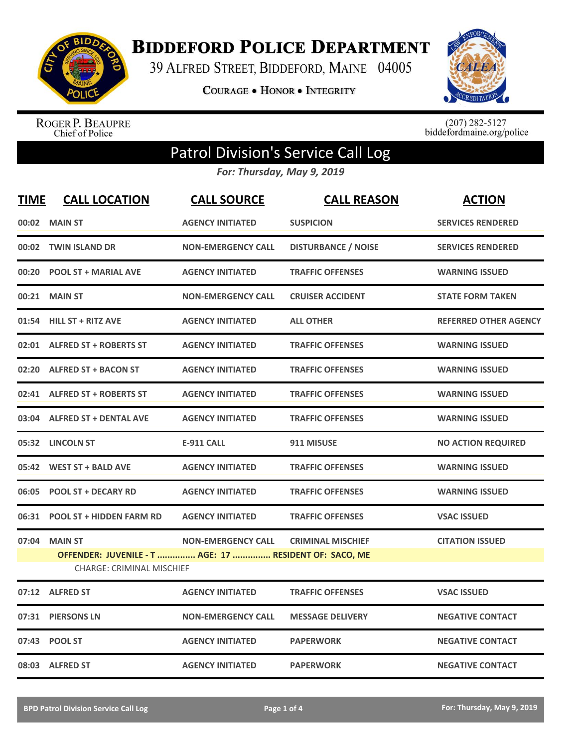

**BIDDEFORD POLICE DEPARTMENT** 

39 ALFRED STREET, BIDDEFORD, MAINE 04005

**COURAGE . HONOR . INTEGRITY** 



ROGER P. BEAUPRE<br>Chief of Police

 $(207)$  282-5127<br>biddefordmaine.org/police

## Patrol Division's Service Call Log

*For: Thursday, May 9, 2019*

| <b>TIME</b> | <b>CALL LOCATION</b>                                                     | <b>CALL SOURCE</b>        | <b>CALL REASON</b>         | <b>ACTION</b>                |
|-------------|--------------------------------------------------------------------------|---------------------------|----------------------------|------------------------------|
|             | 00:02 MAIN ST                                                            | <b>AGENCY INITIATED</b>   | <b>SUSPICION</b>           | <b>SERVICES RENDERED</b>     |
|             | 00:02 TWIN ISLAND DR                                                     | <b>NON-EMERGENCY CALL</b> | <b>DISTURBANCE / NOISE</b> | <b>SERVICES RENDERED</b>     |
|             | 00:20 POOL ST + MARIAL AVE                                               | <b>AGENCY INITIATED</b>   | <b>TRAFFIC OFFENSES</b>    | <b>WARNING ISSUED</b>        |
| 00:21       | <b>MAIN ST</b>                                                           | <b>NON-EMERGENCY CALL</b> | <b>CRUISER ACCIDENT</b>    | <b>STATE FORM TAKEN</b>      |
|             | 01:54 HILL ST + RITZ AVE                                                 | <b>AGENCY INITIATED</b>   | <b>ALL OTHER</b>           | <b>REFERRED OTHER AGENCY</b> |
|             | 02:01 ALFRED ST + ROBERTS ST                                             | <b>AGENCY INITIATED</b>   | <b>TRAFFIC OFFENSES</b>    | <b>WARNING ISSUED</b>        |
|             | 02:20 ALFRED ST + BACON ST                                               | <b>AGENCY INITIATED</b>   | <b>TRAFFIC OFFENSES</b>    | <b>WARNING ISSUED</b>        |
|             | 02:41 ALFRED ST + ROBERTS ST                                             | <b>AGENCY INITIATED</b>   | <b>TRAFFIC OFFENSES</b>    | <b>WARNING ISSUED</b>        |
|             | 03:04 ALFRED ST + DENTAL AVE                                             | <b>AGENCY INITIATED</b>   | <b>TRAFFIC OFFENSES</b>    | <b>WARNING ISSUED</b>        |
|             | 05:32 LINCOLN ST                                                         | <b>E-911 CALL</b>         | 911 MISUSE                 | <b>NO ACTION REQUIRED</b>    |
|             | 05:42 WEST ST + BALD AVE                                                 | <b>AGENCY INITIATED</b>   | <b>TRAFFIC OFFENSES</b>    | <b>WARNING ISSUED</b>        |
|             | 06:05 POOL ST + DECARY RD                                                | <b>AGENCY INITIATED</b>   | <b>TRAFFIC OFFENSES</b>    | <b>WARNING ISSUED</b>        |
|             | 06:31 POOL ST + HIDDEN FARM RD                                           | <b>AGENCY INITIATED</b>   | <b>TRAFFIC OFFENSES</b>    | <b>VSAC ISSUED</b>           |
| 07:04       | <b>MAIN ST</b><br>OFFENDER: JUVENILE - T  AGE: 17  RESIDENT OF: SACO, ME | <b>NON-EMERGENCY CALL</b> | <b>CRIMINAL MISCHIEF</b>   | <b>CITATION ISSUED</b>       |
|             | <b>CHARGE: CRIMINAL MISCHIEF</b>                                         |                           |                            |                              |
|             | 07:12 ALFRED ST                                                          | <b>AGENCY INITIATED</b>   | <b>TRAFFIC OFFENSES</b>    | <b>VSAC ISSUED</b>           |
| 07:31       | <b>PIERSONS LN</b>                                                       | <b>NON-EMERGENCY CALL</b> | <b>MESSAGE DELIVERY</b>    | <b>NEGATIVE CONTACT</b>      |
|             | 07:43 POOL ST                                                            | <b>AGENCY INITIATED</b>   | <b>PAPERWORK</b>           | <b>NEGATIVE CONTACT</b>      |
|             | 08:03 ALFRED ST                                                          | <b>AGENCY INITIATED</b>   | <b>PAPERWORK</b>           | <b>NEGATIVE CONTACT</b>      |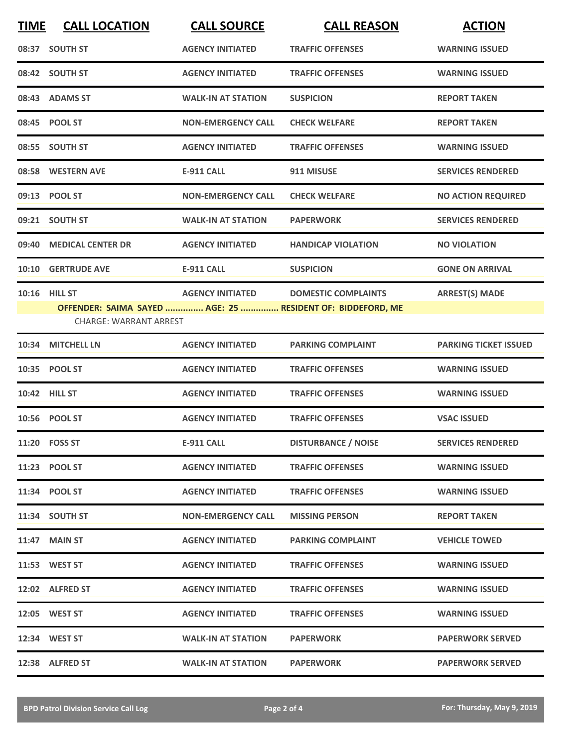| <b>TIME</b> | <b>CALL LOCATION</b>                                  | <b>CALL SOURCE</b>        | <b>CALL REASON</b>                                                                       | <b>ACTION</b>                |
|-------------|-------------------------------------------------------|---------------------------|------------------------------------------------------------------------------------------|------------------------------|
|             | 08:37 SOUTH ST                                        | <b>AGENCY INITIATED</b>   | <b>TRAFFIC OFFENSES</b>                                                                  | <b>WARNING ISSUED</b>        |
|             | 08:42 SOUTH ST                                        | <b>AGENCY INITIATED</b>   | <b>TRAFFIC OFFENSES</b>                                                                  | <b>WARNING ISSUED</b>        |
|             | 08:43 ADAMS ST                                        | <b>WALK-IN AT STATION</b> | <b>SUSPICION</b>                                                                         | <b>REPORT TAKEN</b>          |
|             | 08:45 POOL ST                                         | <b>NON-EMERGENCY CALL</b> | <b>CHECK WELFARE</b>                                                                     | <b>REPORT TAKEN</b>          |
|             | 08:55 SOUTH ST                                        | <b>AGENCY INITIATED</b>   | <b>TRAFFIC OFFENSES</b>                                                                  | <b>WARNING ISSUED</b>        |
|             | 08:58 WESTERN AVE                                     | <b>E-911 CALL</b>         | 911 MISUSE                                                                               | <b>SERVICES RENDERED</b>     |
|             | 09:13 POOL ST                                         | <b>NON-EMERGENCY CALL</b> | <b>CHECK WELFARE</b>                                                                     | <b>NO ACTION REQUIRED</b>    |
|             | 09:21 SOUTH ST                                        | <b>WALK-IN AT STATION</b> | <b>PAPERWORK</b>                                                                         | <b>SERVICES RENDERED</b>     |
|             | 09:40 MEDICAL CENTER DR                               | <b>AGENCY INITIATED</b>   | <b>HANDICAP VIOLATION</b>                                                                | <b>NO VIOLATION</b>          |
|             | 10:10 GERTRUDE AVE                                    | <b>E-911 CALL</b>         | <b>SUSPICION</b>                                                                         | <b>GONE ON ARRIVAL</b>       |
|             | <b>10:16 HILL ST</b><br><b>CHARGE: WARRANT ARREST</b> | <b>AGENCY INITIATED</b>   | <b>DOMESTIC COMPLAINTS</b><br>OFFENDER: SAIMA SAYED  AGE: 25  RESIDENT OF: BIDDEFORD, ME | <b>ARREST(S) MADE</b>        |
| 10:34       | <b>MITCHELL LN</b>                                    | <b>AGENCY INITIATED</b>   | <b>PARKING COMPLAINT</b>                                                                 | <b>PARKING TICKET ISSUED</b> |
|             | 10:35 POOL ST                                         | <b>AGENCY INITIATED</b>   | <b>TRAFFIC OFFENSES</b>                                                                  | <b>WARNING ISSUED</b>        |
|             | 10:42 HILL ST                                         | <b>AGENCY INITIATED</b>   | <b>TRAFFIC OFFENSES</b>                                                                  | <b>WARNING ISSUED</b>        |
|             | 10:56 POOL ST                                         | <b>AGENCY INITIATED</b>   | <b>TRAFFIC OFFENSES</b>                                                                  | <b>VSAC ISSUED</b>           |
|             | 11:20 FOSS ST                                         | <b>E-911 CALL</b>         | <b>DISTURBANCE / NOISE</b>                                                               | <b>SERVICES RENDERED</b>     |
|             | 11:23 POOL ST                                         | <b>AGENCY INITIATED</b>   | <b>TRAFFIC OFFENSES</b>                                                                  | <b>WARNING ISSUED</b>        |
|             | 11:34 POOL ST                                         | <b>AGENCY INITIATED</b>   | <b>TRAFFIC OFFENSES</b>                                                                  | <b>WARNING ISSUED</b>        |
|             | 11:34 SOUTH ST                                        | <b>NON-EMERGENCY CALL</b> | <b>MISSING PERSON</b>                                                                    | <b>REPORT TAKEN</b>          |
|             | 11:47 MAIN ST                                         | <b>AGENCY INITIATED</b>   | <b>PARKING COMPLAINT</b>                                                                 | <b>VEHICLE TOWED</b>         |
|             | 11:53 WEST ST                                         | <b>AGENCY INITIATED</b>   | <b>TRAFFIC OFFENSES</b>                                                                  | <b>WARNING ISSUED</b>        |
|             | 12:02 ALFRED ST                                       | <b>AGENCY INITIATED</b>   | <b>TRAFFIC OFFENSES</b>                                                                  | <b>WARNING ISSUED</b>        |
|             | 12:05 WEST ST                                         | <b>AGENCY INITIATED</b>   | <b>TRAFFIC OFFENSES</b>                                                                  | <b>WARNING ISSUED</b>        |
|             | 12:34 WEST ST                                         | <b>WALK-IN AT STATION</b> | <b>PAPERWORK</b>                                                                         | <b>PAPERWORK SERVED</b>      |
|             | 12:38 ALFRED ST                                       | <b>WALK-IN AT STATION</b> | <b>PAPERWORK</b>                                                                         | <b>PAPERWORK SERVED</b>      |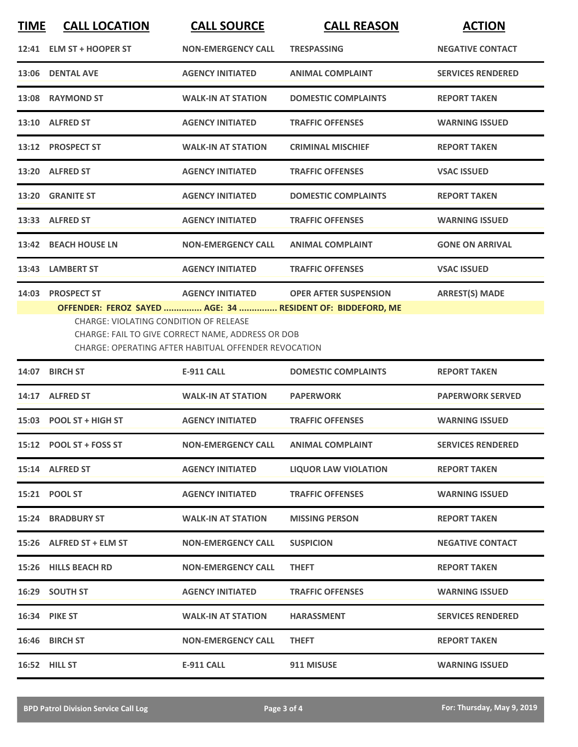| <b>TIME</b> | <b>CALL LOCATION</b>                          | <b>CALL SOURCE</b>                                                                                        | <b>CALL REASON</b>                                                                         | <b>ACTION</b>            |
|-------------|-----------------------------------------------|-----------------------------------------------------------------------------------------------------------|--------------------------------------------------------------------------------------------|--------------------------|
|             | 12:41 ELM ST + HOOPER ST                      | <b>NON-EMERGENCY CALL</b>                                                                                 | <b>TRESPASSING</b>                                                                         | <b>NEGATIVE CONTACT</b>  |
|             | 13:06 DENTAL AVE                              | <b>AGENCY INITIATED</b>                                                                                   | <b>ANIMAL COMPLAINT</b>                                                                    | <b>SERVICES RENDERED</b> |
|             | 13:08 RAYMOND ST                              | <b>WALK-IN AT STATION</b>                                                                                 | <b>DOMESTIC COMPLAINTS</b>                                                                 | <b>REPORT TAKEN</b>      |
|             | 13:10 ALFRED ST                               | <b>AGENCY INITIATED</b>                                                                                   | <b>TRAFFIC OFFENSES</b>                                                                    | <b>WARNING ISSUED</b>    |
|             | 13:12 PROSPECT ST                             | <b>WALK-IN AT STATION</b>                                                                                 | <b>CRIMINAL MISCHIEF</b>                                                                   | <b>REPORT TAKEN</b>      |
|             | 13:20 ALFRED ST                               | <b>AGENCY INITIATED</b>                                                                                   | <b>TRAFFIC OFFENSES</b>                                                                    | <b>VSAC ISSUED</b>       |
|             | 13:20 GRANITE ST                              | <b>AGENCY INITIATED</b>                                                                                   | <b>DOMESTIC COMPLAINTS</b>                                                                 | <b>REPORT TAKEN</b>      |
|             | 13:33 ALFRED ST                               | <b>AGENCY INITIATED</b>                                                                                   | <b>TRAFFIC OFFENSES</b>                                                                    | <b>WARNING ISSUED</b>    |
|             | 13:42 BEACH HOUSE LN                          | <b>NON-EMERGENCY CALL</b>                                                                                 | <b>ANIMAL COMPLAINT</b>                                                                    | <b>GONE ON ARRIVAL</b>   |
|             | 13:43 LAMBERT ST                              | <b>AGENCY INITIATED</b>                                                                                   | <b>TRAFFIC OFFENSES</b>                                                                    | <b>VSAC ISSUED</b>       |
|             | 14:03 PROSPECT ST                             | <b>AGENCY INITIATED</b>                                                                                   | <b>OPER AFTER SUSPENSION</b><br>OFFENDER: FEROZ SAYED  AGE: 34  RESIDENT OF: BIDDEFORD, ME | <b>ARREST(S) MADE</b>    |
|             | <b>CHARGE: VIOLATING CONDITION OF RELEASE</b> | CHARGE: FAIL TO GIVE CORRECT NAME, ADDRESS OR DOB<br>CHARGE: OPERATING AFTER HABITUAL OFFENDER REVOCATION |                                                                                            |                          |
|             | 14:07 BIRCH ST                                | <b>E-911 CALL</b>                                                                                         | <b>DOMESTIC COMPLAINTS</b>                                                                 | <b>REPORT TAKEN</b>      |
|             | 14:17 ALFRED ST                               | <b>WALK-IN AT STATION</b>                                                                                 | <b>PAPERWORK</b>                                                                           | <b>PAPERWORK SERVED</b>  |
|             | 15:03 POOL ST + HIGH ST                       | <b>AGENCY INITIATED</b>                                                                                   | <b>TRAFFIC OFFENSES</b>                                                                    | <b>WARNING ISSUED</b>    |
|             | 15:12 POOL ST + FOSS ST                       | <b>NON-EMERGENCY CALL</b>                                                                                 | <b>ANIMAL COMPLAINT</b>                                                                    | <b>SERVICES RENDERED</b> |
|             | 15:14 ALFRED ST                               | <b>AGENCY INITIATED</b>                                                                                   | <b>LIQUOR LAW VIOLATION</b>                                                                | <b>REPORT TAKEN</b>      |
|             | 15:21 POOL ST                                 | <b>AGENCY INITIATED</b>                                                                                   | <b>TRAFFIC OFFENSES</b>                                                                    | <b>WARNING ISSUED</b>    |
|             | <b>15:24 BRADBURY ST</b>                      | <b>WALK-IN AT STATION</b>                                                                                 | <b>MISSING PERSON</b>                                                                      | <b>REPORT TAKEN</b>      |
|             | 15:26 ALFRED ST + ELM ST                      | <b>NON-EMERGENCY CALL</b>                                                                                 | <b>SUSPICION</b>                                                                           | <b>NEGATIVE CONTACT</b>  |
|             | 15:26 HILLS BEACH RD                          | <b>NON-EMERGENCY CALL</b>                                                                                 | <b>THEFT</b>                                                                               | <b>REPORT TAKEN</b>      |
|             | 16:29 SOUTH ST                                | <b>AGENCY INITIATED</b>                                                                                   | <b>TRAFFIC OFFENSES</b>                                                                    | <b>WARNING ISSUED</b>    |
|             | 16:34 PIKE ST                                 | <b>WALK-IN AT STATION</b>                                                                                 | <b>HARASSMENT</b>                                                                          | <b>SERVICES RENDERED</b> |
|             | 16:46 BIRCH ST                                | <b>NON-EMERGENCY CALL</b>                                                                                 | <b>THEFT</b>                                                                               | <b>REPORT TAKEN</b>      |
|             | <b>16:52 HILL ST</b>                          | <b>E-911 CALL</b>                                                                                         | 911 MISUSE                                                                                 | <b>WARNING ISSUED</b>    |